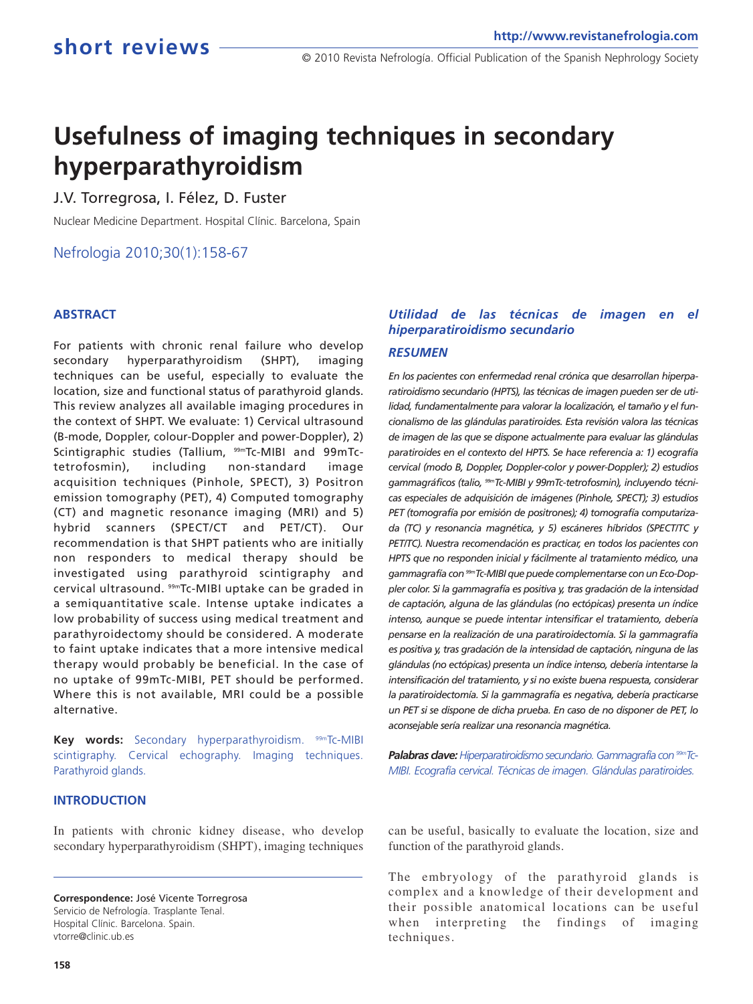# **Usefulness of imaging techniques in secondary hyperparathyroidism**

J.V. Torregrosa, I. Félez, D. Fuster

Nuclear Medicine Department. Hospital Clínic. Barcelona, Spain

#### Nefrologia 2010;30(1):158-67

#### **ABSTRACT**

For patients with chronic renal failure who develop secondary hyperparathyroidism (SHPT), imaging techniques can be useful, especially to evaluate the location, size and functional status of parathyroid glands. This review analyzes all available imaging procedures in the context of SHPT. We evaluate: 1) Cervical ultrasound (B-mode, Doppler, colour-Doppler and power-Doppler), 2) Scintigraphic studies (Tallium, 99mTc-MIBI and 99mTctetrofosmin), including non-standard image acquisition techniques (Pinhole, SPECT), 3) Positron emission tomography (PET), 4) Computed tomography (CT) and magnetic resonance imaging (MRI) and 5) hybrid scanners (SPECT/CT and PET/CT). Our recommendation is that SHPT patients who are initially non responders to medical therapy should be investigated using parathyroid scintigraphy and cervical ultrasound. 99mTc-MIBI uptake can be graded in a semiquantitative scale. Intense uptake indicates a low probability of success using medical treatment and parathyroidectomy should be considered. A moderate to faint uptake indicates that a more intensive medical therapy would probably be beneficial. In the case of no uptake of 99mTc-MIBI, PET should be performed. Where this is not available, MRI could be a possible alternative.

Key words: Secondary hyperparathyroidism. 99mTc-MIBI scintigraphy. Cervical echography. Imaging techniques. Parathyroid glands.

#### **INTRODUCTION**

In patients with chronic kidney disease, who develop secondary hyperparathyroidism (SHPT), imaging techniques

### *Utilidad de las técnicas de imagen en el hiperparatiroidismo secundario*

#### *RESUMEN*

*En los pacientes con enfermedad renal crónica que desarrollan hiperparatiroidismo secundario (HPTS), las técnicas de imagen pueden ser de utilidad, fundamentalmente para valorar la localización, el tamaño y el funcionalismo de las glándulas paratiroides. Esta revisión valora las técnicas de imagen de las que se dispone actualmente para evaluar las glándulas paratiroides en el contexto del HPTS. Se hace referencia a: 1) ecografía cervical (modo B, Doppler, Doppler-color y power-Doppler); 2) estudios gammagráficos (talio, 99mTc-MIBI y 99mTc-tetrofosmin), incluyendo técnicas especiales de adquisición de imágenes (Pinhole, SPECT); 3) estudios PET (tomografía por emisión de positrones); 4) tomografía computarizada (TC) y resonancia magnética, y 5) escáneres híbridos (SPECT/TC y PET/TC). Nuestra recomendación es practicar, en todos los pacientes con HPTS que no responden inicial y fácilmente al tratamiento médico, una gammagrafía con99mTc-MIBI que puede complementarse con un Eco-Doppler color. Si la gammagrafía es positiva y, tras gradación de la intensidad de captación, alguna de las glándulas (no ectópicas) presenta un índice intenso, aunque se puede intentar intensificar el tratamiento, debería pensarse en la realización de una paratiroidectomía. Si la gammagrafía es positiva y, tras gradación de la intensidad de captación, ninguna de las glándulas (no ectópicas) presenta un índice intenso, debería intentarse la intensificación del tratamiento, y si no existe buena respuesta, considerar la paratiroidectomía. Si la gammagrafía es negativa, debería practicarse un PET si se dispone de dicha prueba. En caso de no disponer de PET, lo aconsejable sería realizar una resonancia magnética.*

*Palabras clave:Hiperparatiroidismo secundario. Gammagrafía con 99mTc-MIBI. Ecografía cervical. Técnicas de imagen. Glándulas paratiroides.*

can be useful, basically to evaluate the location, size and function of the parathyroid glands.

The embryology of the parathyroid glands is complex and a knowledge of their development and their possible anatomical locations can be useful when interpreting the findings of imaging techniques.

**Correspondence:** José Vicente Torregrosa Servicio de Nefrología. Trasplante Tenal. Hospital Clínic. Barcelona. Spain. vtorre@clinic.ub.es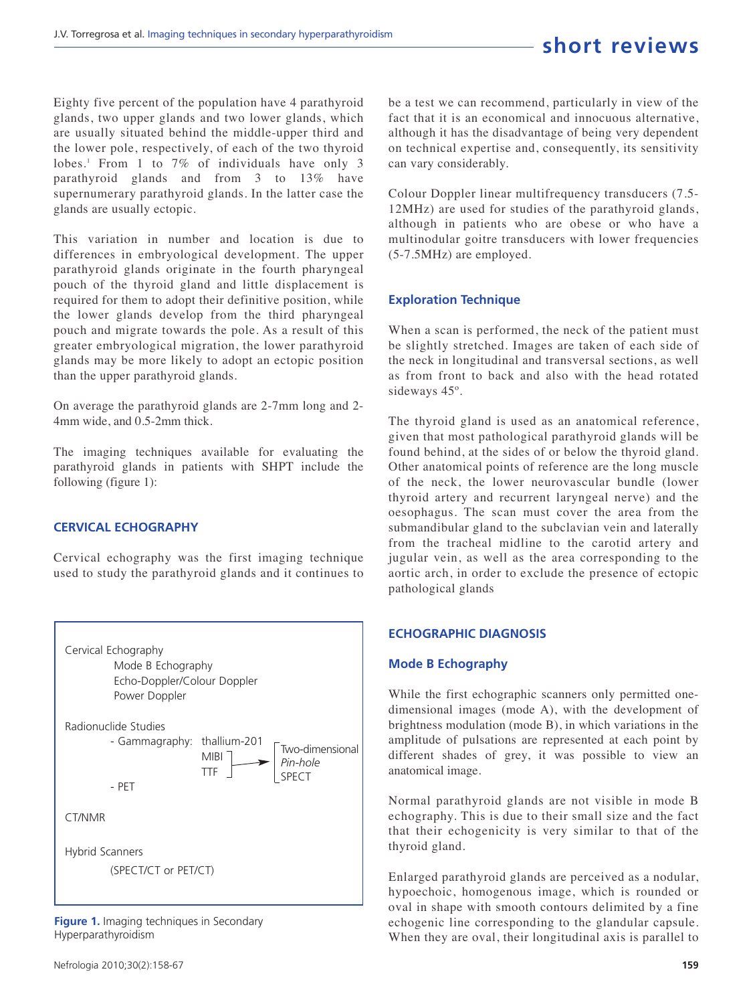Eighty five percent of the population have 4 parathyroid glands, two upper glands and two lower glands, which are usually situated behind the middle-upper third and the lower pole, respectively, of each of the two thyroid lobes.<sup>1</sup> From 1 to 7% of individuals have only 3 parathyroid glands and from 3 to 13% have supernumerary parathyroid glands. In the latter case the glands are usually ectopic.

This variation in number and location is due to differences in embryological development. The upper parathyroid glands originate in the fourth pharyngeal pouch of the thyroid gland and little displacement is required for them to adopt their definitive position, while the lower glands develop from the third pharyngeal pouch and migrate towards the pole. As a result of this greater embryological migration, the lower parathyroid glands may be more likely to adopt an ectopic position than the upper parathyroid glands.

On average the parathyroid glands are 2-7mm long and 2- 4mm wide, and 0.5-2mm thick.

The imaging techniques available for evaluating the parathyroid glands in patients with SHPT include the following (figure 1):

#### **CERVICAL ECHOGRAPHY**

Cervical echography was the first imaging technique used to study the parathyroid glands and it continues to



**Figure 1.** Imaging techniques in Secondary Hyperparathyroidism

Nefrologia 2010;30(2):158-67

be a test we can recommend, particularly in view of the fact that it is an economical and innocuous alternative, although it has the disadvantage of being very dependent on technical expertise and, consequently, its sensitivity can vary considerably.

Colour Doppler linear multifrequency transducers (7.5- 12MHz) are used for studies of the parathyroid glands, although in patients who are obese or who have a multinodular goitre transducers with lower frequencies (5-7.5MHz) are employed.

#### **Exploration Technique**

When a scan is performed, the neck of the patient must be slightly stretched. Images are taken of each side of the neck in longitudinal and transversal sections, as well as from front to back and also with the head rotated sideways 45º.

The thyroid gland is used as an anatomical reference, given that most pathological parathyroid glands will be found behind, at the sides of or below the thyroid gland. Other anatomical points of reference are the long muscle of the neck, the lower neurovascular bundle (lower thyroid artery and recurrent laryngeal nerve) and the oesophagus. The scan must cover the area from the submandibular gland to the subclavian vein and laterally from the tracheal midline to the carotid artery and jugular vein, as well as the area corresponding to the aortic arch, in order to exclude the presence of ectopic pathological glands

#### **ECHOGRAPHIC DIAGNOSIS**

#### **Mode B Echography**

While the first echographic scanners only permitted onedimensional images (mode A), with the development of brightness modulation (mode B), in which variations in the amplitude of pulsations are represented at each point by different shades of grey, it was possible to view an anatomical image.

Normal parathyroid glands are not visible in mode B echography. This is due to their small size and the fact that their echogenicity is very similar to that of the thyroid gland.

Enlarged parathyroid glands are perceived as a nodular, hypoechoic, homogenous image, which is rounded or oval in shape with smooth contours delimited by a fine echogenic line corresponding to the glandular capsule. When they are oval, their longitudinal axis is parallel to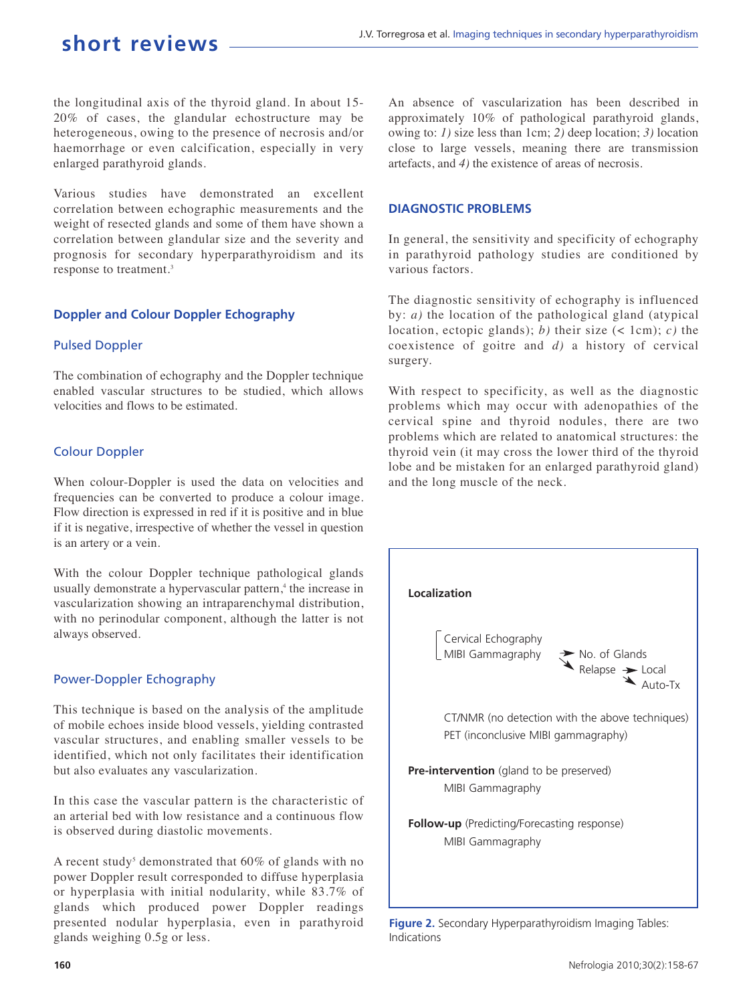the longitudinal axis of the thyroid gland. In about 15- 20% of cases, the glandular echostructure may be heterogeneous, owing to the presence of necrosis and/or haemorrhage or even calcification, especially in very enlarged parathyroid glands.

Various studies have demonstrated an excellent correlation between echographic measurements and the weight of resected glands and some of them have shown a correlation between glandular size and the severity and prognosis for secondary hyperparathyroidism and its response to treatment.<sup>3</sup>

#### **Doppler and Colour Doppler Echography**

#### Pulsed Doppler

The combination of echography and the Doppler technique enabled vascular structures to be studied, which allows velocities and flows to be estimated.

#### Colour Doppler

When colour-Doppler is used the data on velocities and frequencies can be converted to produce a colour image. Flow direction is expressed in red if it is positive and in blue if it is negative, irrespective of whether the vessel in question is an artery or a vein.

With the colour Doppler technique pathological glands usually demonstrate a hypervascular pattern,<sup>4</sup> the increase in vascularization showing an intraparenchymal distribution, with no perinodular component, although the latter is not always observed.

#### Power-Doppler Echography

This technique is based on the analysis of the amplitude of mobile echoes inside blood vessels, yielding contrasted vascular structures, and enabling smaller vessels to be identified, which not only facilitates their identification but also evaluates any vascularization.

In this case the vascular pattern is the characteristic of an arterial bed with low resistance and a continuous flow is observed during diastolic movements.

A recent study<sup>5</sup> demonstrated that  $60\%$  of glands with no power Doppler result corresponded to diffuse hyperplasia or hyperplasia with initial nodularity, while 83.7% of glands which produced power Doppler readings presented nodular hyperplasia, even in parathyroid glands weighing 0.5g or less.

An absence of vascularization has been described in approximately 10% of pathological parathyroid glands, owing to: *1)* size less than 1cm; *2)* deep location; *3)* location close to large vessels, meaning there are transmission artefacts, and *4)* the existence of areas of necrosis.

#### **DIAGNOSTIC PROBLEMS**

In general, the sensitivity and specificity of echography in parathyroid pathology studies are conditioned by various factors.

The diagnostic sensitivity of echography is influenced by: *a)* the location of the pathological gland (atypical location, ectopic glands); *b)* their size (< 1cm); *c)* the coexistence of goitre and *d)* a history of cervical surgery.

With respect to specificity, as well as the diagnostic problems which may occur with adenopathies of the cervical spine and thyroid nodules, there are two problems which are related to anatomical structures: the thyroid vein (it may cross the lower third of the thyroid lobe and be mistaken for an enlarged parathyroid gland) and the long muscle of the neck.



**Figure 2.** Secondary Hyperparathyroidism Imaging Tables: Indications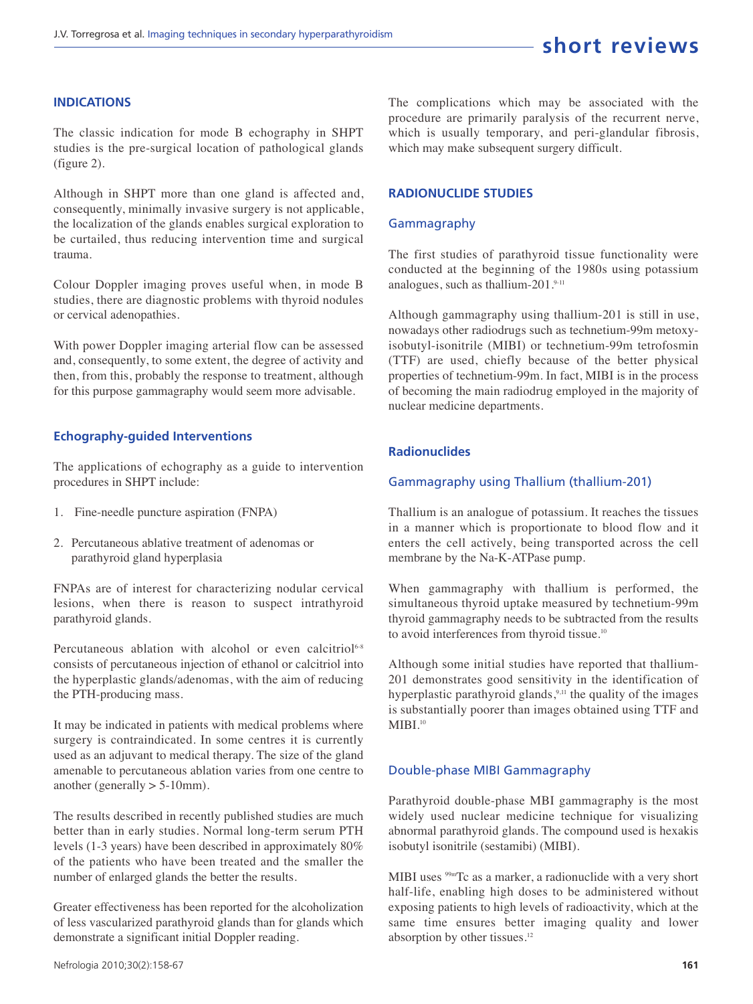#### **INDICATIONS**

The classic indication for mode B echography in SHPT studies is the pre-surgical location of pathological glands (figure 2).

Although in SHPT more than one gland is affected and, consequently, minimally invasive surgery is not applicable, the localization of the glands enables surgical exploration to be curtailed, thus reducing intervention time and surgical trauma.

Colour Doppler imaging proves useful when, in mode B studies, there are diagnostic problems with thyroid nodules or cervical adenopathies.

With power Doppler imaging arterial flow can be assessed and, consequently, to some extent, the degree of activity and then, from this, probably the response to treatment, although for this purpose gammagraphy would seem more advisable.

#### **Echography-guided Interventions**

The applications of echography as a guide to intervention procedures in SHPT include:

- 1. Fine-needle puncture aspiration (FNPA)
- 2. Percutaneous ablative treatment of adenomas or parathyroid gland hyperplasia

FNPAs are of interest for characterizing nodular cervical lesions, when there is reason to suspect intrathyroid parathyroid glands.

Percutaneous ablation with alcohol or even calcitriol<sup>6-8</sup> consists of percutaneous injection of ethanol or calcitriol into the hyperplastic glands/adenomas, with the aim of reducing the PTH-producing mass.

It may be indicated in patients with medical problems where surgery is contraindicated. In some centres it is currently used as an adjuvant to medical therapy. The size of the gland amenable to percutaneous ablation varies from one centre to another (generally  $> 5$ -10mm).

The results described in recently published studies are much better than in early studies. Normal long-term serum PTH levels (1-3 years) have been described in approximately 80% of the patients who have been treated and the smaller the number of enlarged glands the better the results.

Greater effectiveness has been reported for the alcoholization of less vascularized parathyroid glands than for glands which demonstrate a significant initial Doppler reading.

#### **RADIONUCLIDE STUDIES**

#### Gammagraphy

The first studies of parathyroid tissue functionality were conducted at the beginning of the 1980s using potassium analogues, such as thallium-201.9-11

Although gammagraphy using thallium-201 is still in use, nowadays other radiodrugs such as technetium-99m metoxyisobutyl-isonitrile (MIBI) or technetium-99m tetrofosmin (TTF) are used, chiefly because of the better physical properties of technetium-99m. In fact, MIBI is in the process of becoming the main radiodrug employed in the majority of nuclear medicine departments.

#### **Radionuclides**

#### Gammagraphy using Thallium (thallium-201)

Thallium is an analogue of potassium. It reaches the tissues in a manner which is proportionate to blood flow and it enters the cell actively, being transported across the cell membrane by the Na-K-ATPase pump.

When gammagraphy with thallium is performed, the simultaneous thyroid uptake measured by technetium-99m thyroid gammagraphy needs to be subtracted from the results to avoid interferences from thyroid tissue.<sup>10</sup>

Although some initial studies have reported that thallium-201 demonstrates good sensitivity in the identification of hyperplastic parathyroid glands,<sup>9,11</sup> the quality of the images is substantially poorer than images obtained using TTF and  $MIBI.<sup>10</sup>$ 

#### Double-phase MIBI Gammagraphy

Parathyroid double-phase MBI gammagraphy is the most widely used nuclear medicine technique for visualizing abnormal parathyroid glands. The compound used is hexakis isobutyl isonitrile (sestamibi) (MIBI).

MIBI uses <sup>99mT</sup>c as a marker, a radionuclide with a very short half-life, enabling high doses to be administered without exposing patients to high levels of radioactivity, which at the same time ensures better imaging quality and lower absorption by other tissues.<sup>12</sup>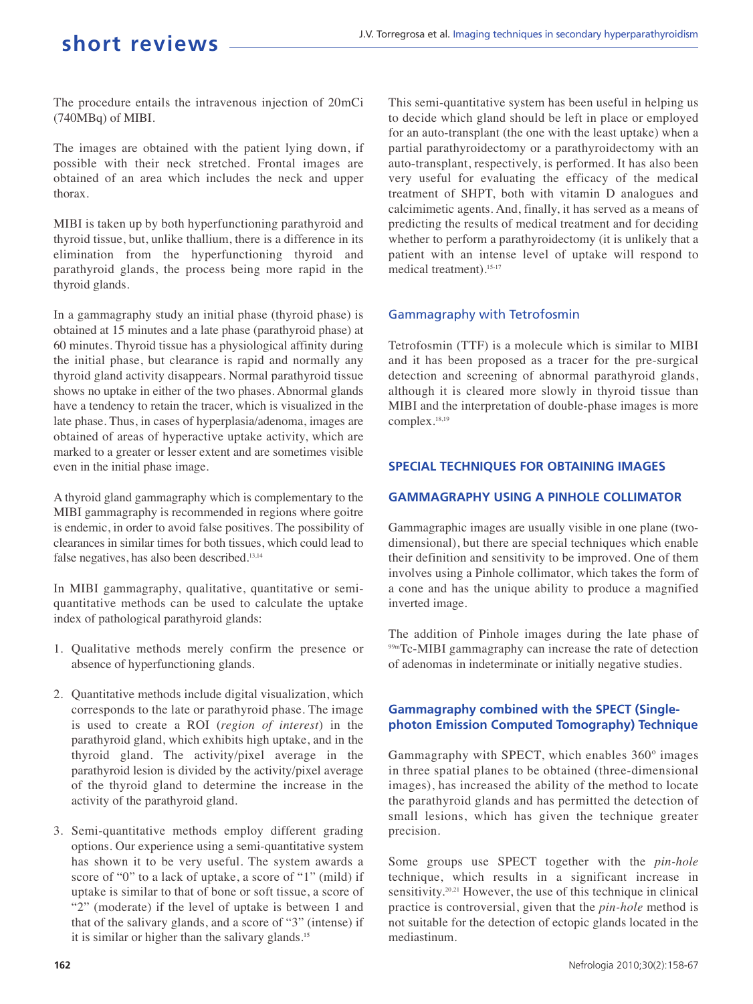The procedure entails the intravenous injection of 20mCi (740MBq) of MIBI.

The images are obtained with the patient lying down, if possible with their neck stretched. Frontal images are obtained of an area which includes the neck and upper thorax.

MIBI is taken up by both hyperfunctioning parathyroid and thyroid tissue, but, unlike thallium, there is a difference in its elimination from the hyperfunctioning thyroid and parathyroid glands, the process being more rapid in the thyroid glands.

In a gammagraphy study an initial phase (thyroid phase) is obtained at 15 minutes and a late phase (parathyroid phase) at 60 minutes. Thyroid tissue has a physiological affinity during the initial phase, but clearance is rapid and normally any thyroid gland activity disappears. Normal parathyroid tissue shows no uptake in either of the two phases. Abnormal glands have a tendency to retain the tracer, which is visualized in the late phase. Thus, in cases of hyperplasia/adenoma, images are obtained of areas of hyperactive uptake activity, which are marked to a greater or lesser extent and are sometimes visible even in the initial phase image.

A thyroid gland gammagraphy which is complementary to the MIBI gammagraphy is recommended in regions where goitre is endemic, in order to avoid false positives. The possibility of clearances in similar times for both tissues, which could lead to false negatives, has also been described.<sup>13,14</sup>

In MIBI gammagraphy, qualitative, quantitative or semiquantitative methods can be used to calculate the uptake index of pathological parathyroid glands:

- 1. Qualitative methods merely confirm the presence or absence of hyperfunctioning glands.
- 2. Quantitative methods include digital visualization, which corresponds to the late or parathyroid phase. The image is used to create a ROI (*region of interest*) in the parathyroid gland, which exhibits high uptake, and in the thyroid gland. The activity/pixel average in the parathyroid lesion is divided by the activity/pixel average of the thyroid gland to determine the increase in the activity of the parathyroid gland.
- 3. Semi-quantitative methods employ different grading options. Our experience using a semi-quantitative system has shown it to be very useful. The system awards a score of "0" to a lack of uptake, a score of "1" (mild) if uptake is similar to that of bone or soft tissue, a score of "2" (moderate) if the level of uptake is between 1 and that of the salivary glands, and a score of "3" (intense) if it is similar or higher than the salivary glands.<sup>15</sup>

This semi-quantitative system has been useful in helping us to decide which gland should be left in place or employed for an auto-transplant (the one with the least uptake) when a partial parathyroidectomy or a parathyroidectomy with an auto-transplant, respectively, is performed. It has also been very useful for evaluating the efficacy of the medical treatment of SHPT, both with vitamin D analogues and calcimimetic agents. And, finally, it has served as a means of predicting the results of medical treatment and for deciding whether to perform a parathyroidectomy (it is unlikely that a patient with an intense level of uptake will respond to medical treatment).15-17

#### Gammagraphy with Tetrofosmin

Tetrofosmin (TTF) is a molecule which is similar to MIBI and it has been proposed as a tracer for the pre-surgical detection and screening of abnormal parathyroid glands, although it is cleared more slowly in thyroid tissue than MIBI and the interpretation of double-phase images is more complex.18,19

#### **SPECIAL TECHNIQUES FOR OBTAINING IMAGES**

#### **GAMMAGRAPHY USING A PINHOLE COLLIMATOR**

Gammagraphic images are usually visible in one plane (twodimensional), but there are special techniques which enable their definition and sensitivity to be improved. One of them involves using a Pinhole collimator, which takes the form of a cone and has the unique ability to produce a magnified inverted image.

The addition of Pinhole images during the late phase of 99mTc-MIBI gammagraphy can increase the rate of detection of adenomas in indeterminate or initially negative studies.

#### **Gammagraphy combined with the SPECT (Singlephoton Emission Computed Tomography) Technique**

Gammagraphy with SPECT, which enables 360º images in three spatial planes to be obtained (three-dimensional images), has increased the ability of the method to locate the parathyroid glands and has permitted the detection of small lesions, which has given the technique greater precision.

Some groups use SPECT together with the *pin-hole* technique, which results in a significant increase in sensitivity.<sup>20,21</sup> However, the use of this technique in clinical practice is controversial, given that the *pin-hole* method is not suitable for the detection of ectopic glands located in the mediastinum.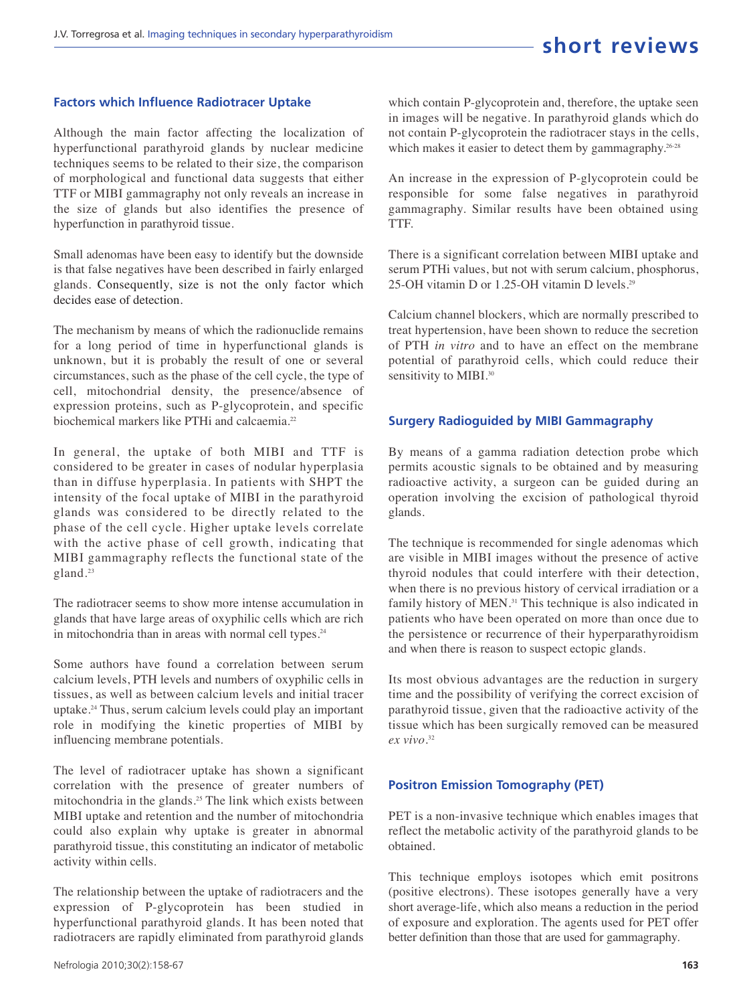#### **Factors which Influence Radiotracer Uptake**

Although the main factor affecting the localization of hyperfunctional parathyroid glands by nuclear medicine techniques seems to be related to their size, the comparison of morphological and functional data suggests that either TTF or MIBI gammagraphy not only reveals an increase in the size of glands but also identifies the presence of hyperfunction in parathyroid tissue.

Small adenomas have been easy to identify but the downside is that false negatives have been described in fairly enlarged glands. Consequently, size is not the only factor which decides ease of detection.

The mechanism by means of which the radionuclide remains for a long period of time in hyperfunctional glands is unknown, but it is probably the result of one or several circumstances, such as the phase of the cell cycle, the type of cell, mitochondrial density, the presence/absence of expression proteins, such as P-glycoprotein, and specific biochemical markers like PTHi and calcaemia.<sup>22</sup>

In general, the uptake of both MIBI and TTF is considered to be greater in cases of nodular hyperplasia than in diffuse hyperplasia. In patients with SHPT the intensity of the focal uptake of MIBI in the parathyroid glands was considered to be directly related to the phase of the cell cycle. Higher uptake levels correlate with the active phase of cell growth, indicating that MIBI gammagraphy reflects the functional state of the gland.<sup>23</sup>

The radiotracer seems to show more intense accumulation in glands that have large areas of oxyphilic cells which are rich in mitochondria than in areas with normal cell types.<sup>24</sup>

Some authors have found a correlation between serum calcium levels, PTH levels and numbers of oxyphilic cells in tissues, as well as between calcium levels and initial tracer uptake.<sup>24</sup> Thus, serum calcium levels could play an important role in modifying the kinetic properties of MIBI by influencing membrane potentials.

The level of radiotracer uptake has shown a significant correlation with the presence of greater numbers of mitochondria in the glands.<sup>25</sup> The link which exists between MIBI uptake and retention and the number of mitochondria could also explain why uptake is greater in abnormal parathyroid tissue, this constituting an indicator of metabolic activity within cells.

The relationship between the uptake of radiotracers and the expression of P-glycoprotein has been studied in hyperfunctional parathyroid glands. It has been noted that radiotracers are rapidly eliminated from parathyroid glands

which contain P-glycoprotein and, therefore, the uptake seen in images will be negative. In parathyroid glands which do not contain P-glycoprotein the radiotracer stays in the cells, which makes it easier to detect them by gammagraphy.<sup>26-28</sup>

An increase in the expression of P-glycoprotein could be responsible for some false negatives in parathyroid gammagraphy. Similar results have been obtained using TTF.

There is a significant correlation between MIBI uptake and serum PTHi values, but not with serum calcium, phosphorus, 25-OH vitamin D or 1.25-OH vitamin D levels.<sup>29</sup>

Calcium channel blockers, which are normally prescribed to treat hypertension, have been shown to reduce the secretion of PTH *in vitro* and to have an effect on the membrane potential of parathyroid cells, which could reduce their sensitivity to MIBI.<sup>30</sup>

#### **Surgery Radioguided by MIBI Gammagraphy**

By means of a gamma radiation detection probe which permits acoustic signals to be obtained and by measuring radioactive activity, a surgeon can be guided during an operation involving the excision of pathological thyroid glands.

The technique is recommended for single adenomas which are visible in MIBI images without the presence of active thyroid nodules that could interfere with their detection, when there is no previous history of cervical irradiation or a family history of MEN.<sup>31</sup> This technique is also indicated in patients who have been operated on more than once due to the persistence or recurrence of their hyperparathyroidism and when there is reason to suspect ectopic glands.

Its most obvious advantages are the reduction in surgery time and the possibility of verifying the correct excision of parathyroid tissue, given that the radioactive activity of the tissue which has been surgically removed can be measured *ex vivo.*<sup>32</sup>

#### **Positron Emission Tomography (PET)**

PET is a non-invasive technique which enables images that reflect the metabolic activity of the parathyroid glands to be obtained.

This technique employs isotopes which emit positrons (positive electrons). These isotopes generally have a very short average-life, which also means a reduction in the period of exposure and exploration. The agents used for PET offer better definition than those that are used for gammagraphy.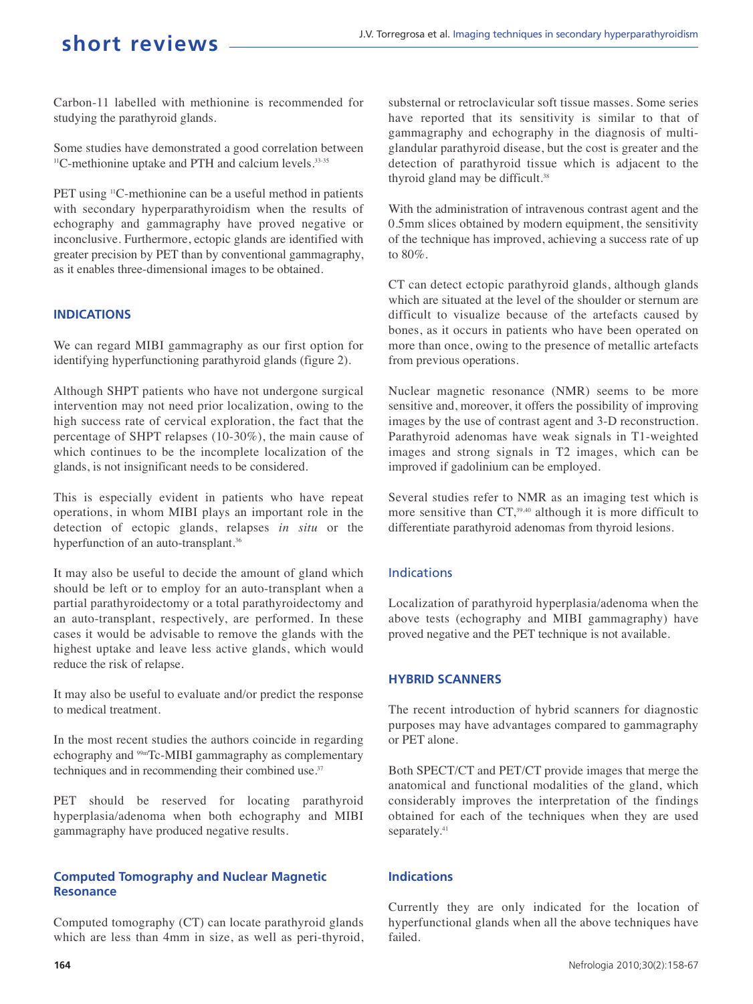Carbon-11 labelled with methionine is recommended for studying the parathyroid glands.

Some studies have demonstrated a good correlation between <sup>11</sup>C-methionine uptake and PTH and calcium levels.<sup>33-35</sup>

PET using <sup>11</sup>C-methionine can be a useful method in patients with secondary hyperparathyroidism when the results of echography and gammagraphy have proved negative or inconclusive. Furthermore, ectopic glands are identified with greater precision by PET than by conventional gammagraphy, as it enables three-dimensional images to be obtained.

#### **INDICATIONS**

We can regard MIBI gammagraphy as our first option for identifying hyperfunctioning parathyroid glands (figure 2).

Although SHPT patients who have not undergone surgical intervention may not need prior localization, owing to the high success rate of cervical exploration, the fact that the percentage of SHPT relapses (10-30%), the main cause of which continues to be the incomplete localization of the glands, is not insignificant needs to be considered.

This is especially evident in patients who have repeat operations, in whom MIBI plays an important role in the detection of ectopic glands, relapses *in situ* or the hyperfunction of an auto-transplant.<sup>36</sup>

It may also be useful to decide the amount of gland which should be left or to employ for an auto-transplant when a partial parathyroidectomy or a total parathyroidectomy and an auto-transplant, respectively, are performed. In these cases it would be advisable to remove the glands with the highest uptake and leave less active glands, which would reduce the risk of relapse.

It may also be useful to evaluate and/or predict the response to medical treatment.

In the most recent studies the authors coincide in regarding echography and <sup>99m</sup>Tc-MIBI gammagraphy as complementary techniques and in recommending their combined use.<sup>37</sup>

PET should be reserved for locating parathyroid hyperplasia/adenoma when both echography and MIBI gammagraphy have produced negative results.

#### **Computed Tomography and Nuclear Magnetic Resonance**

Computed tomography (CT) can locate parathyroid glands which are less than 4mm in size, as well as peri-thyroid, substernal or retroclavicular soft tissue masses. Some series have reported that its sensitivity is similar to that of gammagraphy and echography in the diagnosis of multiglandular parathyroid disease, but the cost is greater and the detection of parathyroid tissue which is adjacent to the thyroid gland may be difficult.<sup>38</sup>

With the administration of intravenous contrast agent and the 0.5mm slices obtained by modern equipment, the sensitivity of the technique has improved, achieving a success rate of up to 80%.

CT can detect ectopic parathyroid glands, although glands which are situated at the level of the shoulder or sternum are difficult to visualize because of the artefacts caused by bones, as it occurs in patients who have been operated on more than once, owing to the presence of metallic artefacts from previous operations.

Nuclear magnetic resonance (NMR) seems to be more sensitive and, moreover, it offers the possibility of improving images by the use of contrast agent and 3-D reconstruction. Parathyroid adenomas have weak signals in T1-weighted images and strong signals in T2 images, which can be improved if gadolinium can be employed.

Several studies refer to NMR as an imaging test which is more sensitive than CT,<sup>39,40</sup> although it is more difficult to differentiate parathyroid adenomas from thyroid lesions.

#### Indications

Localization of parathyroid hyperplasia/adenoma when the above tests (echography and MIBI gammagraphy) have proved negative and the PET technique is not available.

#### **HYBRID SCANNERS**

The recent introduction of hybrid scanners for diagnostic purposes may have advantages compared to gammagraphy or PET alone.

Both SPECT/CT and PET/CT provide images that merge the anatomical and functional modalities of the gland, which considerably improves the interpretation of the findings obtained for each of the techniques when they are used separately.<sup>41</sup>

#### **Indications**

Currently they are only indicated for the location of hyperfunctional glands when all the above techniques have failed.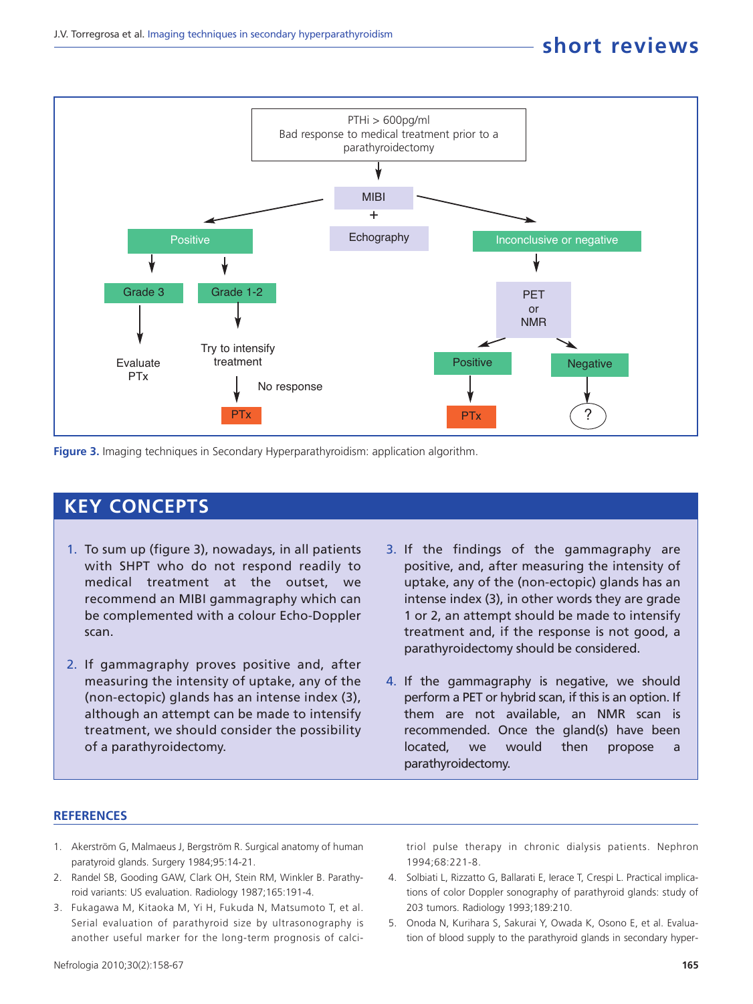

**Figure 3.** Imaging techniques in Secondary Hyperparathyroidism: application algorithm.

### **KEY CONCEPTS**

- 1. To sum up (figure 3), nowadays, in all patients with SHPT who do not respond readily to medical treatment at the outset, we recommend an MIBI gammagraphy which can be complemented with a colour Echo-Doppler scan.
- 2. If gammagraphy proves positive and, after measuring the intensity of uptake, any of the (non-ectopic) glands has an intense index (3), although an attempt can be made to intensify treatment, we should consider the possibility of a parathyroidectomy.
- 3. If the findings of the gammagraphy are positive, and, after measuring the intensity of uptake, any of the (non-ectopic) glands has an intense index (3), in other words they are grade 1 or 2, an attempt should be made to intensify treatment and, if the response is not good, a parathyroidectomy should be considered.
- 4. If the gammagraphy is negative, we should perform a PET or hybrid scan, if this is an option. If them are not available, an NMR scan is recommended. Once the gland(s) have been located, we would then propose a parathyroidectomy.

#### **REFERENCES**

- 1. Akerström G, Malmaeus J, Bergström R. Surgical anatomy of human paratyroid glands. Surgery 1984;95:14-21.
- 2. Randel SB, Gooding GAW, Clark OH, Stein RM, Winkler B. Parathyroid variants: US evaluation. Radiology 1987;165:191-4.
- 3. Fukagawa M, Kitaoka M, Yi H, Fukuda N, Matsumoto T, et al. Serial evaluation of parathyroid size by ultrasonography is another useful marker for the long-term prognosis of calci-

triol pulse therapy in chronic dialysis patients. Nephron 1994;68:221-8.

- 4. Solbiati L, Rizzatto G, Ballarati E, Ierace T, Crespi L. Practical implications of color Doppler sonography of parathyroid glands: study of 203 tumors. Radiology 1993;189:210.
- 5. Onoda N, Kurihara S, Sakurai Y, Owada K, Osono E, et al. Evaluation of blood supply to the parathyroid glands in secondary hyper-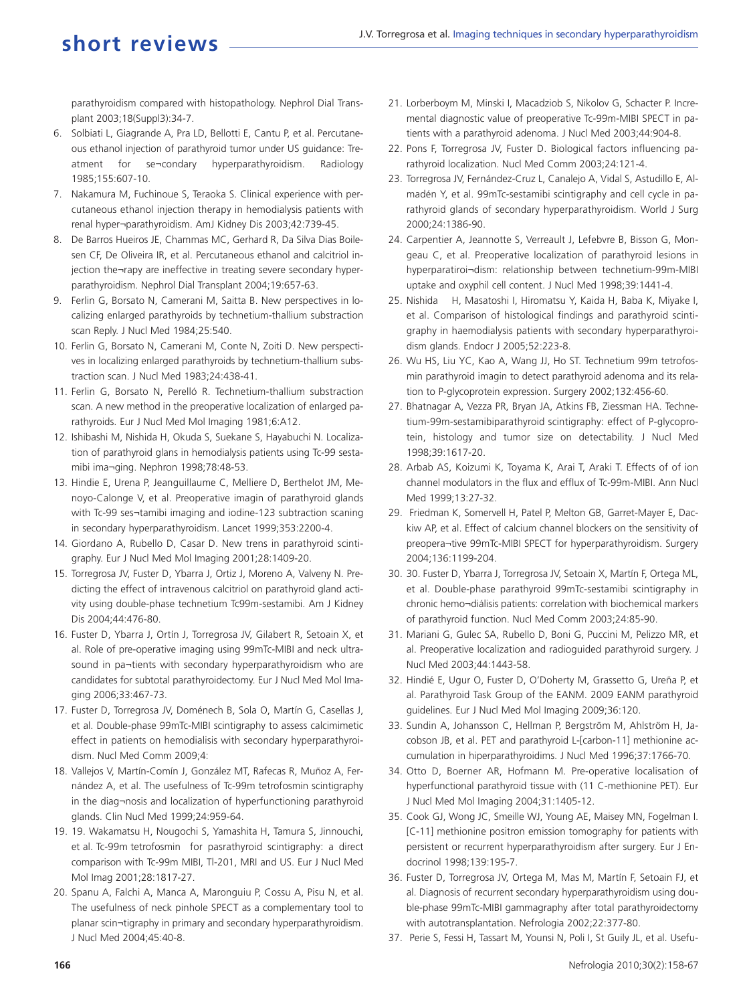parathyroidism compared with histopathology. Nephrol Dial Transplant 2003;18(Suppl3):34-7.

- 6. Solbiati L, Giagrande A, Pra LD, Bellotti E, Cantu P, et al. Percutaneous ethanol injection of parathyroid tumor under US guidance: Treatment for se¬condary hyperparathyroidism. Radiology 1985;155:607-10.
- 7. Nakamura M, Fuchinoue S, Teraoka S. Clinical experience with percutaneous ethanol injection therapy in hemodialysis patients with renal hyper¬parathyroidism. AmJ Kidney Dis 2003;42:739-45.
- 8. De Barros Hueiros JE, Chammas MC, Gerhard R, Da Silva Dias Boilesen CF, De Oliveira IR, et al. Percutaneous ethanol and calcitriol injection the¬rapy are ineffective in treating severe secondary hyperparathyroidism. Nephrol Dial Transplant 2004;19:657-63.
- 9. Ferlin G, Borsato N, Camerani M, Saitta B. New perspectives in localizing enlarged parathyroids by technetium-thallium substraction scan Reply. J Nucl Med 1984;25:540.
- 10. Ferlin G, Borsato N, Camerani M, Conte N, Zoiti D. New perspectives in localizing enlarged parathyroids by technetium-thallium substraction scan. J Nucl Med 1983;24:438-41.
- 11. Ferlin G, Borsato N, Perelló R. Technetium-thallium substraction scan. A new method in the preoperative localization of enlarged parathyroids. Eur J Nucl Med Mol Imaging 1981;6:A12.
- 12. Ishibashi M, Nishida H, Okuda S, Suekane S, Hayabuchi N. Localization of parathyroid glans in hemodialysis patients using Tc-99 sestamibi ima¬ging. Nephron 1998;78:48-53.
- 13. Hindie E, Urena P, Jeanguillaume C, Melliere D, Berthelot JM, Menoyo-Calonge V, et al. Preoperative imagin of parathyroid glands with Tc-99 ses¬tamibi imaging and iodine-123 subtraction scaning in secondary hyperparathyroidism. Lancet 1999;353:2200-4.
- 14. Giordano A, Rubello D, Casar D. New trens in parathyroid scintigraphy. Eur J Nucl Med Mol Imaging 2001;28:1409-20.
- 15. Torregrosa JV, Fuster D, Ybarra J, Ortiz J, Moreno A, Valveny N. Predicting the effect of intravenous calcitriol on parathyroid gland activity using double-phase technetium Tc99m-sestamibi. Am J Kidney Dis 2004;44:476-80.
- 16. Fuster D, Ybarra J, Ortín J, Torregrosa JV, Gilabert R, Setoain X, et al. Role of pre-operative imaging using 99mTc-MIBI and neck ultrasound in pa¬tients with secondary hyperparathyroidism who are candidates for subtotal parathyroidectomy. Eur J Nucl Med Mol Imaging 2006;33:467-73.
- 17. Fuster D, Torregrosa JV, Doménech B, Sola O, Martín G, Casellas J, et al. Double-phase 99mTc-MIBI scintigraphy to assess calcimimetic effect in patients on hemodialisis with secondary hyperparathyroidism. Nucl Med Comm 2009;4:
- 18. Vallejos V, Martín-Comín J, González MT, Rafecas R, Muñoz A, Fernández A, et al. The usefulness of Tc-99m tetrofosmin scintigraphy in the diag¬nosis and localization of hyperfunctioning parathyroid glands. Clin Nucl Med 1999;24:959-64.
- 19. 19. Wakamatsu H, Nougochi S, Yamashita H, Tamura S, Jinnouchi, et al. Tc-99m tetrofosmin for pasrathyroid scintigraphy: a direct comparison with Tc-99m MIBI, Tl-201, MRI and US. Eur J Nucl Med Mol Imag 2001;28:1817-27.
- 20. Spanu A, Falchi A, Manca A, Maronguiu P, Cossu A, Pisu N, et al. The usefulness of neck pinhole SPECT as a complementary tool to planar scin¬tigraphy in primary and secondary hyperparathyroidism. J Nucl Med 2004;45:40-8.
- 21. Lorberboym M, Minski I, Macadziob S, Nikolov G, Schacter P. Incremental diagnostic value of preoperative Tc-99m-MIBI SPECT in patients with a parathyroid adenoma. J Nucl Med 2003;44:904-8.
- 22. Pons F, Torregrosa JV, Fuster D. Biological factors influencing parathyroid localization. Nucl Med Comm 2003;24:121-4.
- 23. Torregrosa JV, Fernández-Cruz L, Canalejo A, Vidal S, Astudillo E, Almadén Y, et al. 99mTc-sestamibi scintigraphy and cell cycle in parathyroid glands of secondary hyperparathyroidism. World J Surg 2000;24:1386-90.
- 24. Carpentier A, Jeannotte S, Verreault J, Lefebvre B, Bisson G, Mongeau C, et al. Preoperative localization of parathyroid lesions in hyperparatiroi¬dism: relationship between technetium-99m-MIBI uptake and oxyphil cell content. J Nucl Med 1998;39:1441-4.
- 25. Nishida H, Masatoshi I, Hiromatsu Y, Kaida H, Baba K, Miyake I, et al. Comparison of histological findings and parathyroid scintigraphy in haemodialysis patients with secondary hyperparathyroidism glands. Endocr J 2005;52:223-8.
- 26. Wu HS, Liu YC, Kao A, Wang JJ, Ho ST. Technetium 99m tetrofosmin parathyroid imagin to detect parathyroid adenoma and its relation to P-glycoprotein expression. Surgery 2002;132:456-60.
- 27. Bhatnagar A, Vezza PR, Bryan JA, Atkins FB, Ziessman HA. Technetium-99m-sestamibiparathyroid scintigraphy: effect of P-glycoprotein, histology and tumor size on detectability. J Nucl Med 1998;39:1617-20.
- 28. Arbab AS, Koizumi K, Toyama K, Arai T, Araki T. Effects of of ion channel modulators in the flux and efflux of Tc-99m-MIBI. Ann Nucl Med 1999;13:27-32.
- 29. Friedman K, Somervell H, Patel P, Melton GB, Garret-Mayer E, Dackiw AP, et al. Effect of calcium channel blockers on the sensitivity of preopera¬tive 99mTc-MIBI SPECT for hyperparathyroidism. Surgery 2004;136:1199-204.
- 30. 30. Fuster D, Ybarra J, Torregrosa JV, Setoain X, Martín F, Ortega ML, et al. Double-phase parathyroid 99mTc-sestamibi scintigraphy in chronic hemo¬diálisis patients: correlation with biochemical markers of parathyroid function. Nucl Med Comm 2003;24:85-90.
- 31. Mariani G, Gulec SA, Rubello D, Boni G, Puccini M, Pelizzo MR, et al. Preoperative localization and radioguided parathyroid surgery. J Nucl Med 2003;44:1443-58.
- 32. Hindié E, Ugur O, Fuster D, O'Doherty M, Grassetto G, Ureña P, et al. Parathyroid Task Group of the EANM. 2009 EANM parathyroid guidelines. Eur J Nucl Med Mol Imaging 2009;36:120.
- 33. Sundin A, Johansson C, Hellman P, Bergström M, Ahlström H, Jacobson JB, et al. PET and parathyroid L-[carbon-11] methionine accumulation in hiperparathyroidims. J Nucl Med 1996;37:1766-70.
- 34. Otto D, Boerner AR, Hofmann M. Pre-operative localisation of hyperfunctional parathyroid tissue with (11 C-methionine PET). Eur J Nucl Med Mol Imaging 2004;31:1405-12.
- 35. Cook GJ, Wong JC, Smeille WJ, Young AE, Maisey MN, Fogelman I. [C-11] methionine positron emission tomography for patients with persistent or recurrent hyperparathyroidism after surgery. Eur J Endocrinol 1998;139:195-7.
- 36. Fuster D, Torregrosa JV, Ortega M, Mas M, Martín F, Setoain FJ, et al. Diagnosis of recurrent secondary hyperparathyroidism using double-phase 99mTc-MIBI gammagraphy after total parathyroidectomy with autotransplantation. Nefrologia 2002;22:377-80.
- 37. Perie S, Fessi H, Tassart M, Younsi N, Poli I, St Guily JL, et al. Usefu-